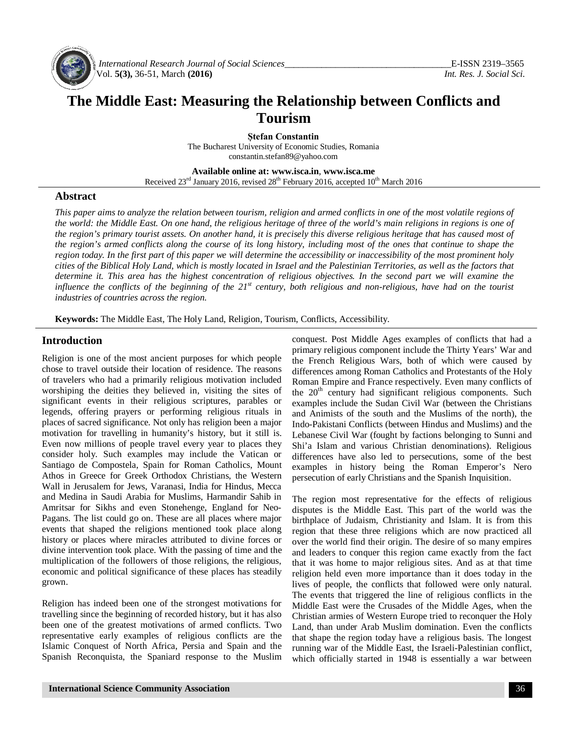

*International Research Journal of Social Sciences\_\_\_\_\_\_\_\_\_\_\_\_\_\_\_\_\_\_\_\_\_\_\_\_\_\_\_\_\_\_\_\_\_\_\_\_*E-ISSN 2319–3565 Vol. **5(3),** 36-51, March **(2016)** *Int. Res. J. Social Sci.*

## **The Middle East: Measuring the Relationship between Conflicts and Tourism**

**Ștefan Constantin** The Bucharest University of Economic Studies, Romania [constantin.stefan89@yahoo.com](mailto:constantin.stefan89@yahoo.com)

**Available online at: [www.isca.in](http://www.isca.in)**, **[www.isca.me](http://www.isca.me)**

Received  $23<sup>rd</sup>$  January 2016, revised  $28<sup>th</sup>$  February 2016, accepted  $10<sup>th</sup>$  March 2016

#### **Abstract**

*This paper aims to analyze the relation between tourism, religion and armed conflicts in one of the most volatile regions of the world: the Middle East. On one hand, the religious heritage of three of the world's main religions in regions is one of the region's primary tourist assets. On another hand, it is precisely this diverse religious heritage that has caused most of the region's armed conflicts along the course of its long history, including most of the ones that continue to shape the region today. In the first part of this paper we will determine the accessibility or inaccessibility of the most prominent holy cities of the Biblical Holy Land, which is mostly located in Israel and the Palestinian Territories, as well as the factors that*  determine it. This area has the highest concentration of religious objectives. In the second part we will examine the *influence the conflicts of the beginning of the 21st century, both religious and non-religious, have had on the tourist industries of countries across the region.*

**Keywords:** The Middle East, The Holy Land, Religion, Tourism, Conflicts, Accessibility.

#### **Introduction**

Religion is one of the most ancient purposes for which people chose to travel outside their location of residence. The reasons of travelers who had a primarily religious motivation included worshiping the deities they believed in, visiting the sites of significant events in their religious scriptures, parables or legends, offering prayers or performing religious rituals in places of sacred significance. Not only has religion been a major motivation for travelling in humanity's history, but it still is. Even now millions of people travel every year to places they consider holy. Such examples may include the Vatican or Santiago de Compostela, Spain for Roman Catholics, Mount Athos in Greece for Greek Orthodox Christians, the Western Wall in Jerusalem for Jews, Varanasi, India for Hindus, Mecca and Medina in Saudi Arabia for Muslims, Harmandir Sahib in Amritsar for Sikhs and even Stonehenge, England for Neo-Pagans. The list could go on. These are all places where major events that shaped the religions mentioned took place along history or places where miracles attributed to divine forces or divine intervention took place. With the passing of time and the multiplication of the followers of those religions, the religious, economic and political significance of these places has steadily grown.

Religion has indeed been one of the strongest motivations for travelling since the beginning of recorded history, but it has also been one of the greatest motivations of armed conflicts. Two representative early examples of religious conflicts are the Islamic Conquest of North Africa, Persia and Spain and the Spanish Reconquista, the Spaniard response to the Muslim

conquest. Post Middle Ages examples of conflicts that had a primary religious component include the Thirty Years' War and the French Religious Wars, both of which were caused by differences among Roman Catholics and Protestants of the Holy Roman Empire and France respectively. Even many conflicts of the  $20<sup>th</sup>$  century had significant religious components. Such examples include the Sudan Civil War (between the Christians and Animists of the south and the Muslims of the north), the Indo-Pakistani Conflicts (between Hindus and Muslims) and the Lebanese Civil War (fought by factions belonging to Sunni and Shi'a Islam and various Christian denominations). Religious differences have also led to persecutions, some of the best examples in history being the Roman Emperor's Nero persecution of early Christians and the Spanish Inquisition.

The region most representative for the effects of religious disputes is the Middle East. This part of the world was the birthplace of Judaism, Christianity and Islam. It is from this region that these three religions which are now practiced all over the world find their origin. The desire of so many empires and leaders to conquer this region came exactly from the fact that it was home to major religious sites. And as at that time religion held even more importance than it does today in the lives of people, the conflicts that followed were only natural. The events that triggered the line of religious conflicts in the Middle East were the Crusades of the Middle Ages, when the Christian armies of Western Europe tried to reconquer the Holy Land, than under Arab Muslim domination. Even the conflicts that shape the region today have a religious basis. The longest running war of the Middle East, the Israeli-Palestinian conflict, which officially started in 1948 is essentially a war between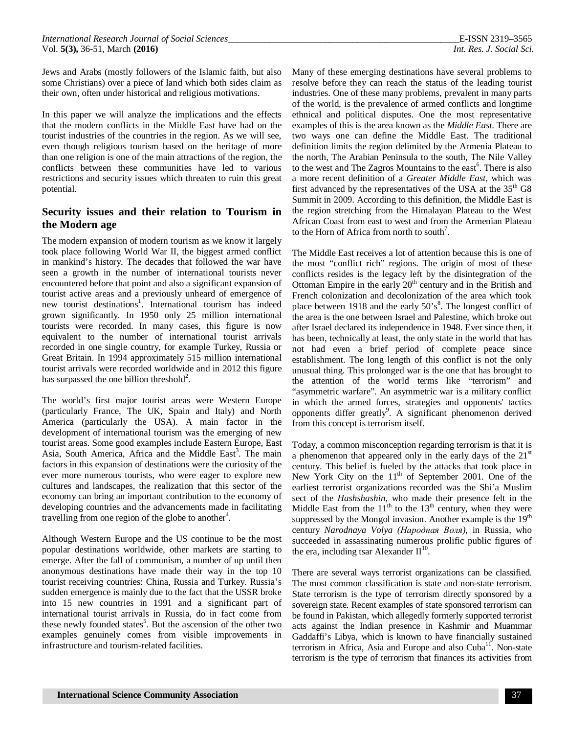Jews and Arabs (mostly followers of the Islamic faith, but also some Christians) over a piece of land which both sides claim as their own, often under historical and religious motivations.

In this paper we will analyze the implications and the effects that the modern conflicts in the Middle East have had on the tourist industries of the countries in the region. As we will see, even though religious tourism based on the heritage of more than one religion is one of the main attractions of the region, the conflicts between these communities have led to various restrictions and security issues which threaten to ruin this great potential.

### **Security issues and their relation to Tourism in the Modern age**

The modern expansion of modern tourism as we know it largely took place following World War II, the biggest armed conflict in mankind's history. The decades that followed the war have seen a growth in the number of international tourists never encountered before that point and also a significant expansion of tourist active areas and a previously unheard of emergence of new tourist destinations<sup>1</sup>. International tourism has indeed grown significantly. In 1950 only 25 million international tourists were recorded. In many cases, this figure is now equivalent to the number of international tourist arrivals recorded in one single country, for example Turkey, Russia or Great Britain. In 1994 approximately 515 million international tourist arrivals were recorded worldwide and in 2012 this figure has surpassed the one billion threshold<sup>2</sup>.

The world's first major tourist areas were Western Europe (particularly France, The UK, Spain and Italy) and North America (particularly the USA). A main factor in the development of international tourism was the emerging of new tourist areas. Some good examples include Eastern Europe, East Asia, South America, Africa and the Middle East<sup>3</sup>. The main factors in this expansion of destinations were the curiosity of the ever more numerous tourists, who were eager to explore new cultures and landscapes, the realization that this sector of the economy can bring an important contribution to the economy of developing countries and the advancements made in facilitating travelling from one region of the globe to another<sup>4</sup>.

Although Western Europe and the US continue to be the most popular destinations worldwide, other markets are starting to emerge. After the fall of communism, a number of up until then anonymous destinations have made their way in the top 10 tourist receiving countries: China, Russia and Turkey. Russia's sudden emergence is mainly due to the fact that the USSR broke into 15 new countries in 1991 and a significant part of international tourist arrivals in Russia, do in fact come from these newly founded states<sup>5</sup>. But the ascension of the other two examples genuinely comes from visible improvements in infrastructure and tourism-related facilities.

Many of these emerging destinations have several problems to resolve before they can reach the status of the leading tourist industries. One of these many problems, prevalent in many parts of the world, is the prevalence of armed conflicts and longtime ethnical and political disputes. One the most representative examples of this is the area known as the *Middle East*. There are two ways one can define the Middle East. The traditional definition limits the region delimited by the Armenia Plateau to the north, The Arabian Peninsula to the south, The Nile Valley to the west and The Zagros Mountains to the east<sup>6</sup>. There is also a more recent definition of a *Greater Middle East*, which was first advanced by the representatives of the USA at the  $35<sup>th</sup>$  G8 Summit in 2009. According to this definition, the Middle East is the region stretching from the Himalayan Plateau to the West African Coast from east to west and from the Armenian Plateau to the Horn of Africa from north to south<sup>7</sup>.

The Middle East receives a lot of attention because this is one of the most "conflict rich" regions. The origin of most of these conflicts resides is the legacy left by the disintegration of the Ottoman Empire in the early  $20<sup>th</sup>$  century and in the British and French colonization and decolonization of the area which took place between 1918 and the early 50's<sup>8</sup>. The longest conflict of the area is the one between Israel and Palestine, which broke out after Israel declared its independence in 1948. Ever since then, it has been, technically at least, the only state in the world that has not had even a brief period of complete peace since establishment. The long length of this conflict is not the only unusual thing. This prolonged war is the one that has brought to the attention of the world terms like "terrorism" and "asymmetric warfare". An asymmetric war is a military conflict in which the armed forces, strategies and opponents' tactics opponents differ greatly<sup>9</sup>. A significant phenomenon derived from this concept is terrorism itself.

Today, a common misconception regarding terrorism is that it is a phenomenon that appeared only in the early days of the  $21<sup>st</sup>$ century. This belief is fueled by the attacks that took place in New York City on the  $11<sup>th</sup>$  of September 2001. One of the earliest terrorist organizations recorded was the Shi'a Muslim sect of the *Hashshashin*, who made their presence felt in the Middle East from the  $11^{th}$  to the  $13^{th}$  century, when they were suppressed by the Mongol invasion. Another example is the 19<sup>th</sup> century *Narodnaya Volya (Народная Воля)*, in Russia, who succeeded in assassinating numerous prolific public figures of the era, including tsar Alexander  $II^{10}$ .

There are several ways terrorist organizations can be classified. The most common classification is state and non-state terrorism. State terrorism is the type of terrorism directly sponsored by a sovereign state. Recent examples of state sponsored terrorism can be found in Pakistan, which allegedly formerly supported terrorist acts against the Indian presence in Kashmir and Muammar Gaddaffi's Libya, which is known to have financially sustained terrorism in Africa, Asia and Europe and also  $Cuba<sup>11</sup>$ . Non-state terrorism is the type of terrorism that finances its activities from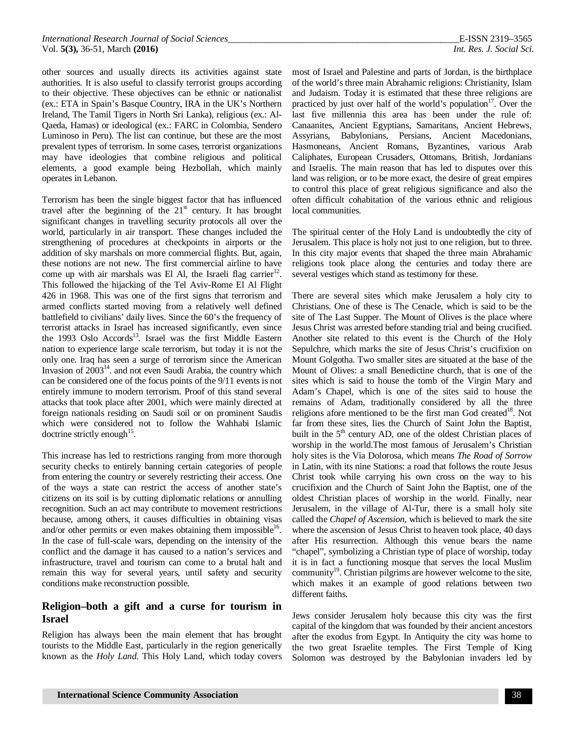other sources and usually directs its activities against state authorities. It is also useful to classify terrorist groups according to their objective. These objectives can be ethnic or nationalist (ex.: ETA in Spain's Basque Country, IRA in the UK's Northern Ireland, The Tamil Tigers in North Sri Lanka), religious (ex.: Al-Qaeda, Hamas) or ideological (ex.: FARC in Colombia, Sendero Luminoso in Peru). The list can continue, but these are the most prevalent types of terrorism. In some cases, terrorist organizations may have ideologies that combine religious and political elements, a good example being Hezbollah, which mainly operates in Lebanon.

Terrorism has been the single biggest factor that has influenced travel after the beginning of the  $21<sup>st</sup>$  century. It has brought significant changes in travelling security protocols all over the world, particularly in air transport. These changes included the strengthening of procedures at checkpoints in airports or the addition of sky marshals on more commercial flights. But, again, these notions are not new. The first commercial airline to have come up with air marshals was El Al, the Israeli flag carrier $^{12}$ . This followed the hijacking of the Tel Aviv-Rome El Al Flight 426 in 1968. This was one of the first signs that terrorism and armed conflicts started moving from a relatively well defined battlefield to civilians' daily lives. Since the 60's the frequency of terrorist attacks in Israel has increased significantly, even since the 1993 Oslo Accords<sup>13</sup>. Israel was the first Middle Eastern nation to experience large scale terrorism, but today it is not the only one. Iraq has seen a surge of terrorism since the American Invasion of  $2003<sup>14</sup>$ , and not even Saudi Arabia, the country which can be considered one of the focus points of the 9/11 events is not entirely immune to modern terrorism. Proof of this stand several attacks that took place after 2001, which were mainly directed at foreign nationals residing on Saudi soil or on prominent Saudis which were considered not to follow the Wahhabi Islamic doctrine strictly enough<sup>15</sup>.

This increase has led to restrictions ranging from more thorough security checks to entirely banning certain categories of people from entering the country or severely restricting their access. One of the ways a state can restrict the access of another state's citizens on its soil is by cutting diplomatic relations or annulling recognition. Such an act may contribute to movement restrictions because, among others, it causes difficulties in obtaining visas and/or other permits or even makes obtaining them impossible<sup>16</sup>. In the case of full-scale wars, depending on the intensity of the conflict and the damage it has caused to a nation's services and infrastructure, travel and tourism can come to a brutal halt and remain this way for several years, until safety and security conditions make reconstruction possible.

### **Religion–both a gift and a curse for tourism in Israel**

Religion has always been the main element that has brought tourists to the Middle East, particularly in the region generically known as the *Holy Land*. This Holy Land, which today covers most of Israel and Palestine and parts of Jordan, is the birthplace of the world's three main Abrahamic religions: Christianity, Islam and Judaism. Today it is estimated that these three religions are practiced by just over half of the world's population<sup>17</sup>. Over the last five millennia this area has been under the rule of: Canaanites, Ancient Egyptians, Samaritans, Ancient Hebrews, Assyrians, Babylonians, Persians, Ancient Macedonians, Hasmoneans, Ancient Romans, Byzantines, various Arab Caliphates, European Crusaders, Ottomans, British, Jordanians and Israelis. The main reason that has led to disputes over this land was religion, or to be more exact, the desire of great empires to control this place of great religious significance and also the often difficult cohabitation of the various ethnic and religious local communities.

The spiritual center of the Holy Land is undoubtedly the city of Jerusalem. This place is holy not just to one religion, but to three. In this city major events that shaped the three main Abrahamic religions took place along the centuries and today there are several vestiges which stand as testimony for these.

There are several sites which make Jerusalem a holy city to Christians. One of these is The Cenacle, which is said to be the site of The Last Supper. The Mount of Olives is the place where Jesus Christ was arrested before standing trial and being crucified. Another site related to this event is the Church of the Holy Sepulchre, which marks the site of Jesus Christ's crucifixion on Mount Golgotha. Two smaller sites are situated at the base of the Mount of Olives: a small Benedictine church, that is one of the sites which is said to house the tomb of the Virgin Mary and Adam's Chapel, which is one of the sites said to house the remains of Adam, traditionally considered by all the three religions afore mentioned to be the first man God created<sup>18</sup>. Not far from these sites, lies the Church of Saint John the Baptist, built in the  $5<sup>th</sup>$  century AD, one of the oldest Christian places of worship in the world.The most famous of Jerusalem's Christian holy sites is the Via Dolorosa, which means *The Road of Sorrow* in Latin, with its nine Stations: a road that follows the route Jesus Christ took while carrying his own cross on the way to his crucifixion and the Church of Saint John the Baptist, one of the oldest Christian places of worship in the world. Finally, near Jerusalem, in the village of Al-Tur, there is a small holy site called the *Chapel of Ascension*, which is believed to mark the site where the ascension of Jesus Christ to heaven took place, 40 days after His resurrection. Although this venue bears the name "chapel", symbolizing a Christian type of place of worship, today it is in fact a functioning mosque that serves the local Muslim community $^{19}$ . Christian pilgrims are however welcome to the site, which makes it an example of good relations between two different faiths.

Jews consider Jerusalem holy because this city was the first capital of the kingdom that was founded by their ancient ancestors after the exodus from Egypt. In Antiquity the city was home to the two great Israelite temples. The First Temple of King Solomon was destroyed by the Babylonian invaders led by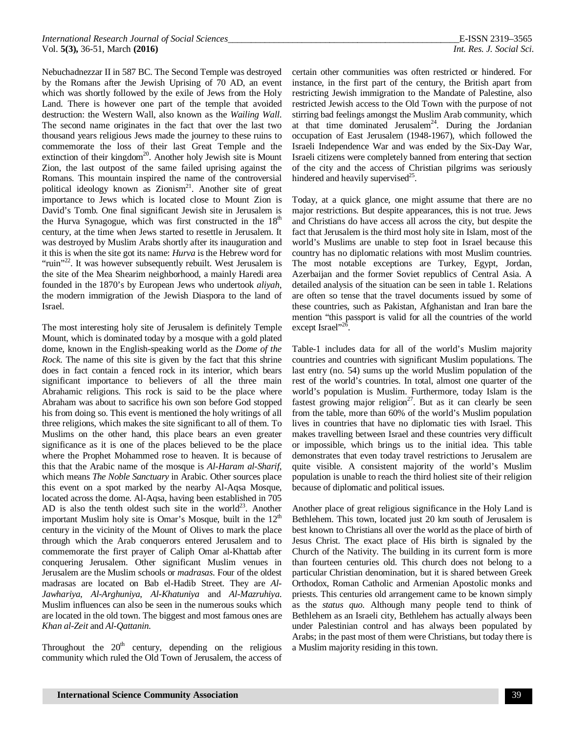Nebuchadnezzar II in 587 BC. The Second Temple was destroyed by the Romans after the Jewish Uprising of 70 AD, an event which was shortly followed by the exile of Jews from the Holy Land. There is however one part of the temple that avoided destruction: the Western Wall, also known as the *Wailing Wall*. The second name originates in the fact that over the last two thousand years religious Jews made the journey to these ruins to commemorate the loss of their last Great Temple and the extinction of their kingdom<sup>20</sup>. Another holy Jewish site is Mount Zion, the last outpost of the same failed uprising against the Romans. This mountain inspired the name of the controversial political ideology known as Zionism<sup>21</sup>. Another site of great importance to Jews which is located close to Mount Zion is David's Tomb. One final significant Jewish site in Jerusalem is the Hurva Synagogue, which was first constructed in the  $18<sup>th</sup>$ century, at the time when Jews started to resettle in Jerusalem. It was destroyed by Muslim Arabs shortly after its inauguration and it this is when the site got its name: *Hurva* is the Hebrew word for "ruin"<sup>22</sup>. It was however subsequently rebuilt. West Jerusalem is the site of the Mea Shearim neighborhood, a mainly Haredi area founded in the 1870's by European Jews who undertook *aliyah*, the modern immigration of the Jewish Diaspora to the land of Israel.

The most interesting holy site of Jerusalem is definitely Temple Mount, which is dominated today by a mosque with a gold plated dome, known in the English-speaking world as the *Dome of the Rock*. The name of this site is given by the fact that this shrine does in fact contain a fenced rock in its interior, which bears significant importance to believers of all the three main Abrahamic religions. This rock is said to be the place where Abraham was about to sacrifice his own son before God stopped his from doing so. This event is mentioned the holy writings of all three religions, which makes the site significant to all of them. To Muslims on the other hand, this place bears an even greater significance as it is one of the places believed to be the place where the Prophet Mohammed rose to heaven. It is because of this that the Arabic name of the mosque is *Al-Haram al-Sharif*, which means *The Noble Sanctuary* in Arabic. Other sources place this event on a spot marked by the nearby Al-Aqsa Mosque, located across the dome. Al-Aqsa, having been established in 705 AD is also the tenth oldest such site in the world<sup>23</sup>. Another important Muslim holy site is Omar's Mosque, built in the  $12<sup>th</sup>$ century in the vicinity of the Mount of Olives to mark the place through which the Arab conquerors entered Jerusalem and to commemorate the first prayer of Caliph Omar al-Khattab after conquering Jerusalem. Other significant Muslim venues in Jerusalem are the Muslim schools or *madrasas*. Four of the oldest madrasas are located on Bab el-Hadib Street. They are *Al-Jawhariya*, *Al-Arghuniya*, *Al-Khatuniya* and *Al-Mazruhiya*. Muslim influences can also be seen in the numerous souks which are located in the old town. The biggest and most famous ones are *Khan al-Zeit* and *Al-Qattanin*.

Throughout the  $20<sup>th</sup>$  century, depending on the religious community which ruled the Old Town of Jerusalem, the access of

certain other communities was often restricted or hindered. For instance, in the first part of the century, the British apart from restricting Jewish immigration to the Mandate of Palestine, also restricted Jewish access to the Old Town with the purpose of not stirring bad feelings amongst the Muslim Arab community, which at that time dominated Jerusalem<sup>24</sup>. During the Jordanian occupation of East Jerusalem (1948-1967), which followed the Israeli Independence War and was ended by the Six-Day War, Israeli citizens were completely banned from entering that section of the city and the access of Christian pilgrims was seriously hindered and heavily supervised<sup>25</sup>.

Today, at a quick glance, one might assume that there are no major restrictions. But despite appearances, this is not true. Jews and Christians do have access all across the city, but despite the fact that Jerusalem is the third most holy site in Islam, most of the world's Muslims are unable to step foot in Israel because this country has no diplomatic relations with most Muslim countries. The most notable exceptions are Turkey, Egypt, Jordan, Azerbaijan and the former Soviet republics of Central Asia. A detailed analysis of the situation can be seen in table 1. Relations are often so tense that the travel documents issued by some of these countries, such as Pakistan, Afghanistan and Iran bare the mention "this passport is valid for all the countries of the world except Israel"<sup>26</sup>.

Table-1 includes data for all of the world's Muslim majority countries and countries with significant Muslim populations. The last entry (no. 54) sums up the world Muslim population of the rest of the world's countries. In total, almost one quarter of the world's population is Muslim. Furthermore, today Islam is the fastest growing major religion<sup>27</sup>. But as it can clearly be seen from the table, more than 60% of the world's Muslim population lives in countries that have no diplomatic ties with Israel. This makes travelling between Israel and these countries very difficult or impossible, which brings us to the initial idea. This table demonstrates that even today travel restrictions to Jerusalem are quite visible. A consistent majority of the world's Muslim population is unable to reach the third holiest site of their religion because of diplomatic and political issues.

Another place of great religious significance in the Holy Land is Bethlehem. This town, located just 20 km south of Jerusalem is best known to Christians all over the world as the place of birth of Jesus Christ. The exact place of His birth is signaled by the Church of the Nativity. The building in its current form is more than fourteen centuries old. This church does not belong to a particular Christian denomination, but it is shared between Greek Orthodox, Roman Catholic and Armenian Apostolic monks and priests. This centuries old arrangement came to be known simply as the *status quo*. Although many people tend to think of Bethlehem as an Israeli city, Bethlehem has actually always been under Palestinian control and has always been populated by Arabs; in the past most of them were Christians, but today there is a Muslim majority residing in this town.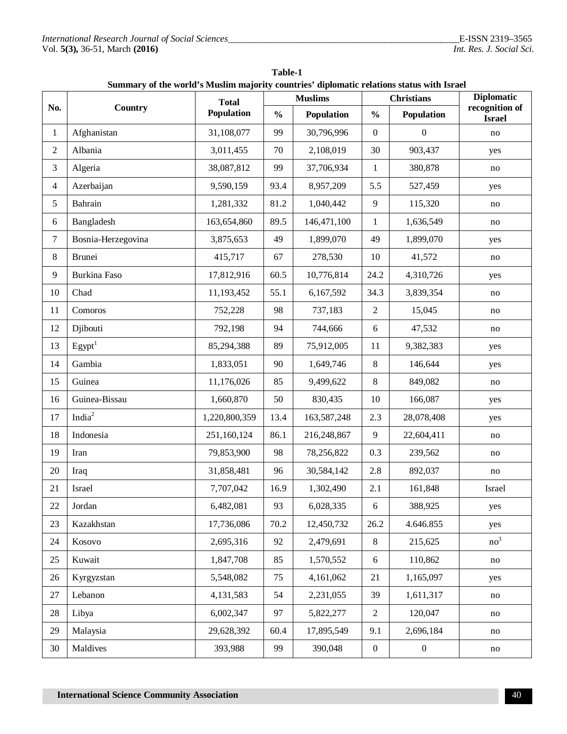| <b>Table-1</b>                                                                            |  |
|-------------------------------------------------------------------------------------------|--|
| Summary of the world's Muslim majority countries' diplomatic relations status with Israel |  |

|                | Country            | <b>Total</b><br><b>Population</b> | <b>Muslims</b> |             | ойшнагу ог нье могта з глазниг шајогну соантгиз -агрюпанс генатонз запаз мни тэгасг<br><b>Christians</b> |                  | <b>Diplomatic</b>               |
|----------------|--------------------|-----------------------------------|----------------|-------------|----------------------------------------------------------------------------------------------------------|------------------|---------------------------------|
| No.            |                    |                                   | $\frac{0}{0}$  | Population  | $\frac{0}{0}$                                                                                            | Population       | recognition of<br><b>Israel</b> |
| $\mathbf{1}$   | Afghanistan        | 31,108,077                        | 99             | 30,796,996  | $\boldsymbol{0}$                                                                                         | $\boldsymbol{0}$ | no                              |
| $\sqrt{2}$     | Albania            | 3,011,455                         | 70             | 2,108,019   | 30                                                                                                       | 903,437          | yes                             |
| $\mathfrak{Z}$ | Algeria            | 38,087,812                        | 99             | 37,706,934  | $\mathbf{1}$                                                                                             | 380,878          | no                              |
| $\overline{4}$ | Azerbaijan         | 9,590,159                         | 93.4           | 8,957,209   | 5.5                                                                                                      | 527,459          | yes                             |
| $\sqrt{5}$     | Bahrain            | 1,281,332                         | 81.2           | 1,040,442   | 9                                                                                                        | 115,320          | no                              |
| $\sqrt{6}$     | Bangladesh         | 163,654,860                       | 89.5           | 146,471,100 | $\mathbf{1}$                                                                                             | 1,636,549        | no                              |
| $\tau$         | Bosnia-Herzegovina | 3,875,653                         | 49             | 1,899,070   | 49                                                                                                       | 1,899,070        | yes                             |
| $\,8\,$        | Brunei             | 415,717                           | 67             | 278,530     | 10                                                                                                       | 41,572           | no                              |
| 9              | Burkina Faso       | 17,812,916                        | 60.5           | 10,776,814  | 24.2                                                                                                     | 4,310,726        | yes                             |
| 10             | Chad               | 11,193,452                        | 55.1           | 6,167,592   | 34.3                                                                                                     | 3,839,354        | no                              |
| 11             | Comoros            | 752,228                           | 98             | 737,183     | $\overline{2}$                                                                                           | 15,045           | no                              |
| 12             | Djibouti           | 792,198                           | 94             | 744,666     | $6\,$                                                                                                    | 47,532           | no                              |
| 13             | Egypt <sup>1</sup> | 85,294,388                        | 89             | 75,912,005  | 11                                                                                                       | 9,382,383        | yes                             |
| 14             | Gambia             | 1,833,051                         | 90             | 1,649,746   | $8\,$                                                                                                    | 146,644          | yes                             |
| 15             | Guinea             | 11,176,026                        | 85             | 9,499,622   | 8                                                                                                        | 849,082          | no                              |
| 16             | Guinea-Bissau      | 1,660,870                         | 50             | 830,435     | 10                                                                                                       | 166,087          | yes                             |
| 17             | India $2$          | 1,220,800,359                     | 13.4           | 163,587,248 | 2.3                                                                                                      | 28,078,408       | yes                             |
| 18             | Indonesia          | 251,160,124                       | 86.1           | 216,248,867 | 9                                                                                                        | 22,604,411       | no                              |
| 19             | Iran               | 79,853,900                        | 98             | 78,256,822  | 0.3                                                                                                      | 239,562          | no                              |
| 20             | Iraq               | 31,858,481                        | 96             | 30,584,142  | 2.8                                                                                                      | 892,037          | no                              |
| 21             | Israel             | 7,707,042                         | 16.9           | 1,302,490   | 2.1                                                                                                      | 161,848          | Israel                          |
| $22\,$         | Jordan             | 6,482,081                         | 93             | 6,028,335   | $6\,$                                                                                                    | 388,925          | yes                             |
| 23             | Kazakhstan         | 17,736,086                        | 70.2           | 12,450,732  | 26.2                                                                                                     | 4.646.855        | yes                             |
| 24             | Kosovo             | 2,695,316                         | 92             | 2,479,691   | 8                                                                                                        | 215,625          | no <sup>3</sup>                 |
| 25             | Kuwait             | 1,847,708                         | 85             | 1,570,552   | 6                                                                                                        | 110,862          | no                              |
| 26             | Kyrgyzstan         | 5,548,082                         | 75             | 4,161,062   | 21                                                                                                       | 1,165,097        | yes                             |
| 27             | Lebanon            | 4,131,583                         | 54             | 2,231,055   | 39                                                                                                       | 1,611,317        | no                              |
| 28             | Libya              | 6,002,347                         | 97             | 5,822,277   | $\overline{2}$                                                                                           | 120,047          | no                              |
| 29             | Malaysia           | 29,628,392                        | 60.4           | 17,895,549  | 9.1                                                                                                      | 2,696,184        | no                              |
| 30             | Maldives           | 393,988                           | 99             | 390,048     | $\boldsymbol{0}$                                                                                         | $\boldsymbol{0}$ | no                              |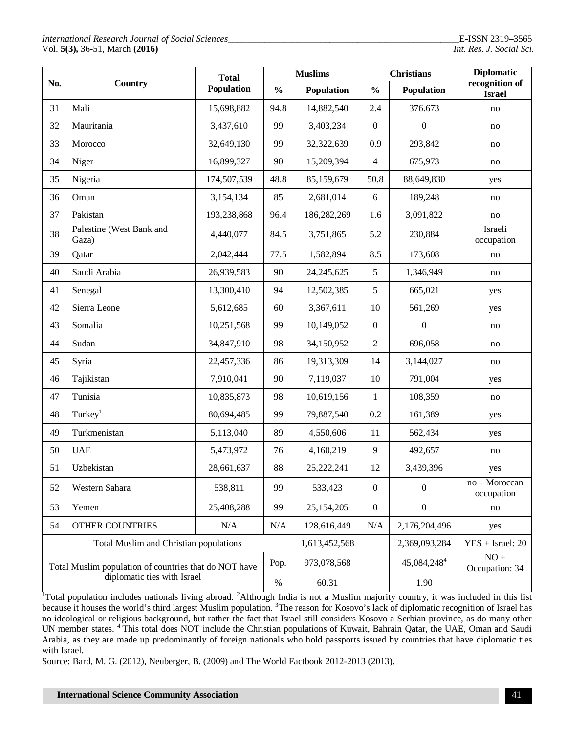|                                                                                      | Country                           | <b>Total</b><br>Population | <b>Muslims</b> |               | <b>Christians</b> |                         | <b>Diplomatic</b>               |
|--------------------------------------------------------------------------------------|-----------------------------------|----------------------------|----------------|---------------|-------------------|-------------------------|---------------------------------|
| No.                                                                                  |                                   |                            | $\frac{0}{0}$  | Population    | $\frac{0}{0}$     | Population              | recognition of<br><b>Israel</b> |
| 31                                                                                   | Mali                              | 15,698,882                 | 94.8           | 14,882,540    | 2.4               | 376.673                 | no                              |
| 32                                                                                   | Mauritania                        | 3,437,610                  | 99             | 3,403,234     | $\mathbf{0}$      | $\boldsymbol{0}$        | no                              |
| 33                                                                                   | Morocco                           | 32,649,130                 | 99             | 32,322,639    | 0.9               | 293,842                 | no                              |
| 34                                                                                   | Niger                             | 16,899,327                 | 90             | 15,209,394    | $\overline{4}$    | 675,973                 | no                              |
| 35                                                                                   | Nigeria                           | 174,507,539                | 48.8           | 85,159,679    | 50.8              | 88,649,830              | yes                             |
| 36                                                                                   | Oman                              | 3,154,134                  | 85             | 2,681,014     | 6                 | 189,248                 | no                              |
| 37                                                                                   | Pakistan                          | 193,238,868                | 96.4           | 186,282,269   | 1.6               | 3,091,822               | no                              |
| 38                                                                                   | Palestine (West Bank and<br>Gaza) | 4,440,077                  | 84.5           | 3,751,865     | 5.2               | 230,884                 | Israeli<br>occupation           |
| 39                                                                                   | Qatar                             | 2,042,444                  | 77.5           | 1,582,894     | 8.5               | 173,608                 | no                              |
| 40                                                                                   | Saudi Arabia                      | 26,939,583                 | 90             | 24, 245, 625  | 5                 | 1,346,949               | no                              |
| 41                                                                                   | Senegal                           | 13,300,410                 | 94             | 12,502,385    | 5                 | 665,021                 | yes                             |
| 42                                                                                   | Sierra Leone                      | 5,612,685                  | 60             | 3,367,611     | 10                | 561,269                 | yes                             |
| 43                                                                                   | Somalia                           | 10,251,568                 | 99             | 10,149,052    | $\mathbf{0}$      | $\boldsymbol{0}$        | no                              |
| 44                                                                                   | Sudan                             | 34,847,910                 | 98             | 34,150,952    | $\overline{2}$    | 696,058                 | no                              |
| 45                                                                                   | Syria                             | 22,457,336                 | 86             | 19,313,309    | 14                | 3,144,027               | no                              |
| 46                                                                                   | Tajikistan                        | 7,910,041                  | 90             | 7,119,037     | 10                | 791,004                 | yes                             |
| 47                                                                                   | Tunisia                           | 10,835,873                 | 98             | 10,619,156    | $\mathbf{1}$      | 108,359                 | no                              |
| 48                                                                                   | Turkey <sup>1</sup>               | 80,694,485                 | 99             | 79,887,540    | 0.2               | 161,389                 | yes                             |
| 49                                                                                   | Turkmenistan                      | 5,113,040                  | 89             | 4,550,606     | 11                | 562,434                 | yes                             |
| 50                                                                                   | <b>UAE</b>                        | 5,473,972                  | 76             | 4,160,219     | 9                 | 492,657                 | no                              |
| 51                                                                                   | Uzbekistan                        | 28,661,637                 | 88             | 25,222,241    | 12                | 3,439,396               | yes                             |
| 52                                                                                   | Western Sahara                    | 538,811                    | 99             | 533,423       | $\boldsymbol{0}$  | $\boldsymbol{0}$        | no - Moroccan<br>occupation     |
| 53                                                                                   | Yemen                             | 25,408,288                 | 99             | 25, 154, 205  | $\boldsymbol{0}$  | $\boldsymbol{0}$        | no                              |
| 54                                                                                   | <b>OTHER COUNTRIES</b>            | N/A                        | N/A            | 128,616,449   | N/A               | 2,176,204,496           | yes                             |
| Total Muslim and Christian populations                                               |                                   |                            |                | 1,613,452,568 |                   | 2,369,093,284           | $YES + Israel: 20$              |
| Total Muslim population of countries that do NOT have<br>diplomatic ties with Israel |                                   |                            | Pop.           | 973,078,568   |                   | 45,084,248 <sup>4</sup> | $NO +$<br>Occupation: 34        |
|                                                                                      |                                   |                            | $\%$           | 60.31         |                   | 1.90                    |                                 |

<sup>1</sup>Total population includes nationals living abroad. <sup>2</sup>Although India is not a Muslim majority country, it was included in this list because it houses the world's third largest Muslim population. <sup>3</sup>The reason for Kosovo's lack of diplomatic recognition of Israel has no ideological or religious background, but rather the fact that Israel still considers Kosovo a Serbian province, as do many other UN member states. <sup>4</sup>This total does NOT include the Christian populations of Kuwait, Bahrain Qatar, the UAE, Oman and Saudi Arabia, as they are made up predominantly of foreign nationals who hold passports issued by countries that have diplomatic ties with Israel.

Source: Bard, M. G. (2012), Neuberger, B. (2009) and The World Factbook 2012-2013 (2013).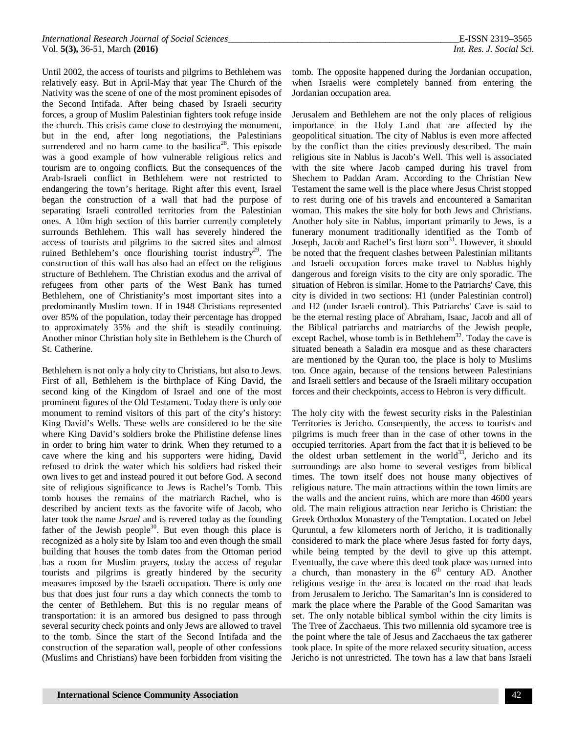Until 2002, the access of tourists and pilgrims to Bethlehem was relatively easy. But in April-May that year The Church of the Nativity was the scene of one of the most prominent episodes of the Second Intifada. After being chased by Israeli security forces, a group of Muslim Palestinian fighters took refuge inside the church. This crisis came close to destroying the monument, but in the end, after long negotiations, the Palestinians surrendered and no harm came to the basilica<sup>28</sup>. This episode was a good example of how vulnerable religious relics and tourism are to ongoing conflicts. But the consequences of the Arab-Israeli conflict in Bethlehem were not restricted to endangering the town's heritage. Right after this event, Israel began the construction of a wall that had the purpose of separating Israeli controlled territories from the Palestinian ones. A 10m high section of this barrier currently completely surrounds Bethlehem. This wall has severely hindered the access of tourists and pilgrims to the sacred sites and almost ruined Bethlehem's once flourishing tourist industry<sup>29</sup>. The construction of this wall has also had an effect on the religious structure of Bethlehem. The Christian exodus and the arrival of refugees from other parts of the West Bank has turned Bethlehem, one of Christianity's most important sites into a predominantly Muslim town. If in 1948 Christians represented over 85% of the population, today their percentage has dropped to approximately 35% and the shift is steadily continuing. Another minor Christian holy site in Bethlehem is the Church of St. Catherine.

Bethlehem is not only a holy city to Christians, but also to Jews. First of all, Bethlehem is the birthplace of King David, the second king of the Kingdom of Israel and one of the most prominent figures of the Old Testament. Today there is only one monument to remind visitors of this part of the city's history: King David's Wells. These wells are considered to be the site where King David's soldiers broke the Philistine defense lines in order to bring him water to drink. When they returned to a cave where the king and his supporters were hiding, David refused to drink the water which his soldiers had risked their own lives to get and instead poured it out before God. A second site of religious significance to Jews is Rachel's Tomb. This tomb houses the remains of the matriarch Rachel, who is described by ancient texts as the favorite wife of Jacob, who later took the name *Israel* and is revered today as the founding father of the Jewish people $30$ . But even though this place is recognized as a holy site by Islam too and even though the small building that houses the tomb dates from the Ottoman period has a room for Muslim prayers, today the access of regular tourists and pilgrims is greatly hindered by the security measures imposed by the Israeli occupation. There is only one bus that does just four runs a day which connects the tomb to the center of Bethlehem. But this is no regular means of transportation: it is an armored bus designed to pass through several security check points and only Jews are allowed to travel to the tomb. Since the start of the Second Intifada and the construction of the separation wall, people of other confessions (Muslims and Christians) have been forbidden from visiting the

tomb. The opposite happened during the Jordanian occupation, when Israelis were completely banned from entering the Jordanian occupation area.

Jerusalem and Bethlehem are not the only places of religious importance in the Holy Land that are affected by the geopolitical situation. The city of Nablus is even more affected by the conflict than the cities previously described. The main religious site in Nablus is Jacob's Well. This well is associated with the site where Jacob camped during his travel from Shechem to Paddan Aram. According to the Christian New Testament the same well is the place where Jesus Christ stopped to rest during one of his travels and encountered a Samaritan woman. This makes the site holy for both Jews and Christians. Another holy site in Nablus, important primarily to Jews, is a funerary monument traditionally identified as the Tomb of Joseph, Jacob and Rachel's first born son<sup>31</sup>. However, it should be noted that the frequent clashes between Palestinian militants and Israeli occupation forces make travel to Nablus highly dangerous and foreign visits to the city are only sporadic. The situation of Hebron is similar. Home to the Patriarchs' Cave, this city is divided in two sections: H1 (under Palestinian control) and H2 (under Israeli control). This Patriarchs' Cave is said to be the eternal resting place of Abraham, Isaac, Jacob and all of the Biblical patriarchs and matriarchs of the Jewish people, except Rachel, whose tomb is in Bethlehem<sup>32</sup>. Today the cave is situated beneath a Saladin era mosque and as these characters are mentioned by the Quran too, the place is holy to Muslims too. Once again, because of the tensions between Palestinians and Israeli settlers and because of the Israeli military occupation forces and their checkpoints, access to Hebron is very difficult.

The holy city with the fewest security risks in the Palestinian Territories is Jericho. Consequently, the access to tourists and pilgrims is much freer than in the case of other towns in the occupied territories. Apart from the fact that it is believed to be the oldest urban settlement in the world<sup>33</sup>, Jericho and its surroundings are also home to several vestiges from biblical times. The town itself does not house many objectives of religious nature. The main attractions within the town limits are the walls and the ancient ruins, which are more than 4600 years old. The main religious attraction near Jericho is Christian: the Greek Orthodox Monastery of the Temptation. Located on Jebel Quruntul, a few kilometers north of Jericho, it is traditionally considered to mark the place where Jesus fasted for forty days, while being tempted by the devil to give up this attempt. Eventually, the cave where this deed took place was turned into a church, than monastery in the  $6<sup>th</sup>$  century AD. Another religious vestige in the area is located on the road that leads from Jerusalem to Jericho. The Samaritan's Inn is considered to mark the place where the Parable of the Good Samaritan was set. The only notable biblical symbol within the city limits is The Tree of Zacchaeus. This two millennia old sycamore tree is the point where the tale of Jesus and Zacchaeus the tax gatherer took place. In spite of the more relaxed security situation, access Jericho is not unrestricted. The town has a law that bans Israeli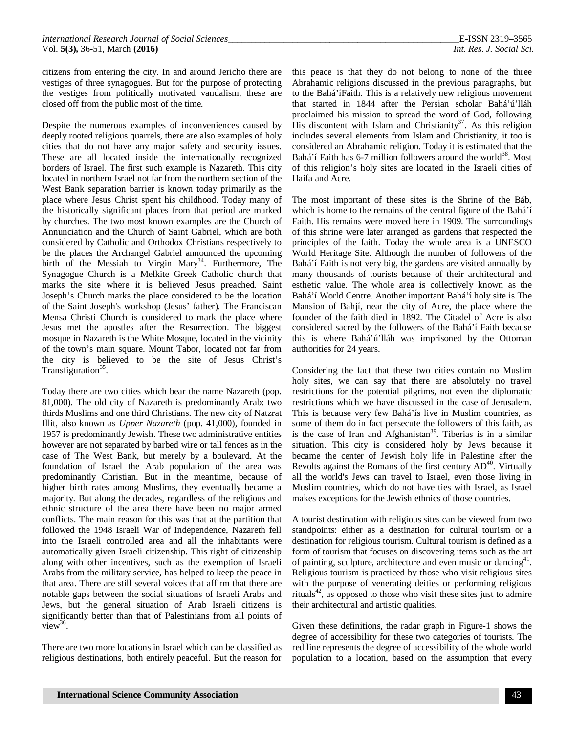citizens from entering the city. In and around Jericho there are vestiges of three synagogues. But for the purpose of protecting the vestiges from politically motivated vandalism, these are closed off from the public most of the time.

Despite the numerous examples of inconveniences caused by deeply rooted religious quarrels, there are also examples of holy cities that do not have any major safety and security issues. These are all located inside the internationally recognized borders of Israel. The first such example is Nazareth. This city located in northern Israel not far from the northern section of the West Bank separation barrier is known today primarily as the place where Jesus Christ spent his childhood. Today many of the historically significant places from that period are marked by churches. The two most known examples are the Church of Annunciation and the Church of Saint Gabriel, which are both considered by Catholic and Orthodox Christians respectively to be the places the Archangel Gabriel announced the upcoming birth of the Messiah to Virgin Mary<sup>34</sup>. Furthermore, The Synagogue Church is a Melkite Greek Catholic church that marks the site where it is believed Jesus preached. Saint Joseph's Church marks the place considered to be the location of the Saint Joseph's workshop (Jesus' father). The Franciscan Mensa Christi Church is considered to mark the place where Jesus met the apostles after the Resurrection. The biggest mosque in Nazareth is the White Mosque, located in the vicinity of the town's main square. Mount Tabor, located not far from the city is believed to be the site of Jesus Christ's Transfiguration<sup>35</sup>.

Today there are two cities which bear the name Nazareth (pop. 81,000). The old city of Nazareth is predominantly Arab: two thirds Muslims and one third Christians. The new city of Natzrat Illit, also known as *Upper Nazareth* (pop. 41,000), founded in 1957 is predominantly Jewish. These two administrative entities however are not separated by barbed wire or tall fences as in the case of The West Bank, but merely by a boulevard. At the foundation of Israel the Arab population of the area was predominantly Christian. But in the meantime, because of higher birth rates among Muslims, they eventually became a majority. But along the decades, regardless of the religious and ethnic structure of the area there have been no major armed conflicts. The main reason for this was that at the partition that followed the 1948 Israeli War of Independence, Nazareth fell into the Israeli controlled area and all the inhabitants were automatically given Israeli citizenship. This right of citizenship along with other incentives, such as the exemption of Israeli Arabs from the military service, has helped to keep the peace in that area. There are still several voices that affirm that there are notable gaps between the social situations of Israeli Arabs and Jews, but the general situation of Arab Israeli citizens is significantly better than that of Palestinians from all points of  $view^{36}$ .

There are two more locations in Israel which can be classified as religious destinations, both entirely peaceful. But the reason for

this peace is that they do not belong to none of the three Abrahamic religions discussed in the previous paragraphs, but to the Bahá'íFaith. This is a relatively new religious movement that started in 1844 after the Persian scholar Bahá'ú'lláh proclaimed his mission to spread the word of God, following His discontent with Islam and Christianity<sup>37</sup>. As this religion includes several elements from Islam and Christianity, it too is considered an Abrahamic religion. Today it is estimated that the Bahá'í Faith has  $6-7$  million followers around the world<sup>38</sup>. Most of this religion's holy sites are located in the Israeli cities of Haifa and Acre.

The most important of these sites is the Shrine of the Báb, which is home to the remains of the central figure of the Bahá'í Faith. His remains were moved here in 1909. The surroundings of this shrine were later arranged as gardens that respected the principles of the faith. Today the whole area is a UNESCO World Heritage Site. Although the number of followers of the Bahá'í Faith is not very big, the gardens are visited annually by many thousands of tourists because of their architectural and esthetic value. The whole area is collectively known as the Bahá'í World Centre. Another important Bahá'í holy site is The Mansion of Bahjí, near the city of Acre, the place where the founder of the faith died in 1892. The Citadel of Acre is also considered sacred by the followers of the Bahá'í Faith because this is where Bahá'ú'lláh was imprisoned by the Ottoman authorities for 24 years.

Considering the fact that these two cities contain no Muslim holy sites, we can say that there are absolutely no travel restrictions for the potential pilgrims, not even the diplomatic restrictions which we have discussed in the case of Jerusalem. This is because very few Bahá'ís live in Muslim countries, as some of them do in fact persecute the followers of this faith, as is the case of Iran and  $\widehat{A}$ fghanistan<sup>39</sup>. Tiberias is in a similar situation. This city is considered holy by Jews because it became the center of Jewish holy life in Palestine after the Revolts against the Romans of the first century  $AD<sup>40</sup>$ . Virtually all the world's Jews can travel to Israel, even those living in Muslim countries, which do not have ties with Israel, as Israel makes exceptions for the Jewish ethnics of those countries.

A tourist destination with religious sites can be viewed from two standpoints: either as a destination for cultural tourism or a destination for religious tourism. Cultural tourism is defined as a form of tourism that focuses on discovering items such as the art of painting, sculpture, architecture and even music or dancing<sup>41</sup>. Religious tourism is practiced by those who visit religious sites with the purpose of venerating deities or performing religious rituals<sup>42</sup>, as opposed to those who visit these sites just to admire their architectural and artistic qualities.

Given these definitions, the radar graph in Figure-1 shows the degree of accessibility for these two categories of tourists. The red line represents the degree of accessibility of the whole world population to a location, based on the assumption that every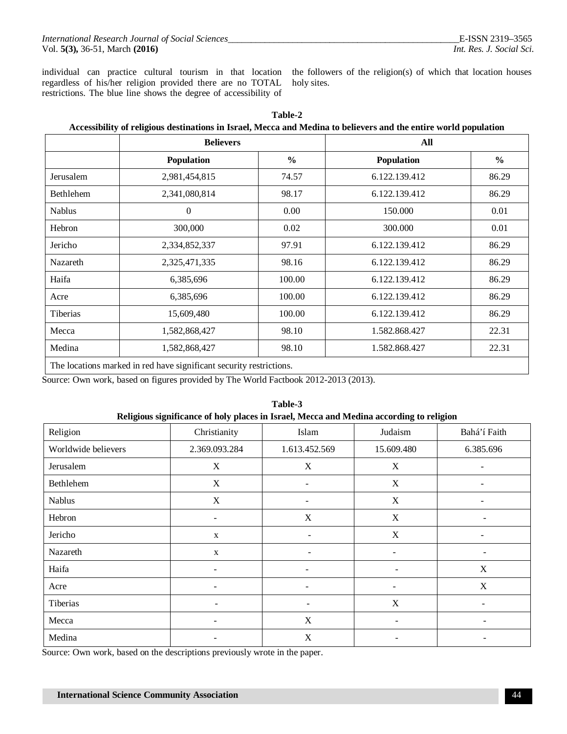individual can practice cultural tourism in that location regardless of his/her religion provided there are no TOTAL restrictions. The blue line shows the degree of accessibility of

the followers of the religion(s) of which that location houses holy sites.

|                  | <b>Believers</b>  |               | All               |               |  |
|------------------|-------------------|---------------|-------------------|---------------|--|
|                  | <b>Population</b> | $\frac{6}{6}$ | <b>Population</b> | $\frac{6}{9}$ |  |
| Jerusalem        | 2,981,454,815     | 74.57         | 6.122.139.412     | 86.29         |  |
| <b>Bethlehem</b> | 2,341,080,814     | 98.17         | 6.122.139.412     | 86.29         |  |
| <b>Nablus</b>    | $\boldsymbol{0}$  | 0.00          | 150.000           | 0.01          |  |
| Hebron           | 300,000           | 0.02          | 300.000           | 0.01          |  |
| Jericho          | 2,334,852,337     | 97.91         | 6.122.139.412     | 86.29         |  |
| Nazareth         | 2,325,471,335     | 98.16         | 6.122.139.412     | 86.29         |  |
| Haifa            | 6,385,696         | 100.00        | 6.122.139.412     | 86.29         |  |
| Acre             | 6,385,696         | 100.00        | 6.122.139.412     | 86.29         |  |
| <b>Tiberias</b>  | 15,609,480        | 100.00        | 6.122.139.412     | 86.29         |  |
| Mecca            | 1,582,868,427     | 98.10         | 1.582.868.427     | 22.31         |  |
| Medina           | 1,582,868,427     | 98.10         | 1.582.868.427     | 22.31         |  |

**Table-2**

The locations marked in red have significant security restrictions.

Source: Own work, based on figures provided by The World Factbook 2012-2013 (2013).

| Religious significance of holy places in Israel, Mecca and Medina according to religion |                          |                          |                          |              |  |  |  |  |
|-----------------------------------------------------------------------------------------|--------------------------|--------------------------|--------------------------|--------------|--|--|--|--|
| Religion                                                                                | Christianity             | Islam                    | Judaism                  | Bahá'í Faith |  |  |  |  |
| Worldwide believers                                                                     | 2.369.093.284            | 1.613.452.569            | 15.609.480               | 6.385.696    |  |  |  |  |
| Jerusalem                                                                               | X                        | X                        | X                        |              |  |  |  |  |
| Bethlehem                                                                               | X                        |                          | X                        |              |  |  |  |  |
| <b>Nablus</b>                                                                           | X                        |                          | X                        |              |  |  |  |  |
| Hebron                                                                                  | $\overline{\phantom{a}}$ | X                        | X                        | ÷            |  |  |  |  |
| Jericho                                                                                 | $\mathbf{X}$             | $\overline{\phantom{0}}$ | X                        |              |  |  |  |  |
| Nazareth                                                                                | $\mathbf X$              | ۰                        |                          |              |  |  |  |  |
| Haifa                                                                                   | ۰                        |                          |                          | X            |  |  |  |  |
| Acre                                                                                    | $\overline{\phantom{a}}$ | -                        | $\overline{\phantom{a}}$ | X            |  |  |  |  |
| Tiberias                                                                                |                          |                          | X                        | ۰            |  |  |  |  |
| Mecca                                                                                   |                          | X                        |                          |              |  |  |  |  |
| Medina                                                                                  |                          | X                        |                          |              |  |  |  |  |

# **Table-3**

Source: Own work, based on the descriptions previously wrote in the paper.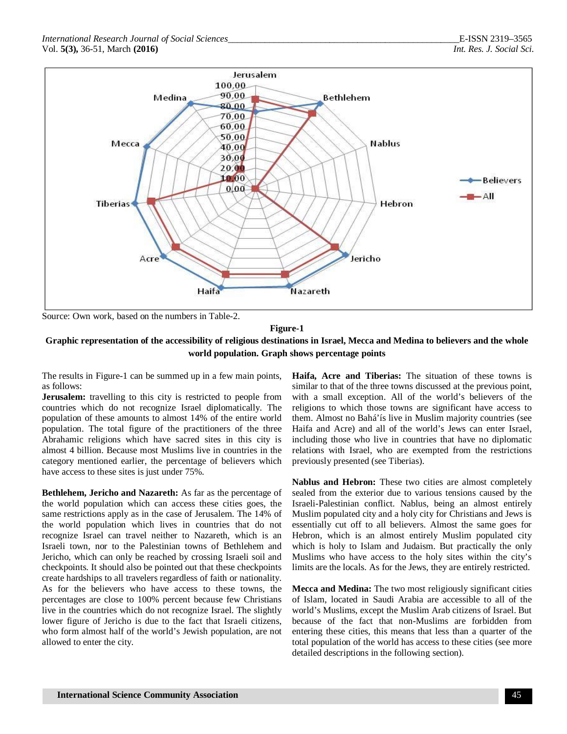

Source: Own work, based on the numbers in Table-2.

#### **Figure-1**

#### **Graphic representation of the accessibility of religious destinations in Israel, Mecca and Medina to believers and the whole world population. Graph shows percentage points**

The results in Figure-1 can be summed up in a few main points, as follows:

**Jerusalem:** travelling to this city is restricted to people from countries which do not recognize Israel diplomatically. The population of these amounts to almost 14% of the entire world population. The total figure of the practitioners of the three Abrahamic religions which have sacred sites in this city is almost 4 billion. Because most Muslims live in countries in the category mentioned earlier, the percentage of believers which have access to these sites is just under 75%.

**Bethlehem, Jericho and Nazareth:** As far as the percentage of the world population which can access these cities goes, the same restrictions apply as in the case of Jerusalem. The 14% of the world population which lives in countries that do not recognize Israel can travel neither to Nazareth, which is an Israeli town, nor to the Palestinian towns of Bethlehem and Jericho, which can only be reached by crossing Israeli soil and checkpoints. It should also be pointed out that these checkpoints create hardships to all travelers regardless of faith or nationality. As for the believers who have access to these towns, the percentages are close to 100% percent because few Christians live in the countries which do not recognize Israel. The slightly lower figure of Jericho is due to the fact that Israeli citizens, who form almost half of the world's Jewish population, are not allowed to enter the city.

**Haifa, Acre and Tiberias:** The situation of these towns is similar to that of the three towns discussed at the previous point, with a small exception. All of the world's believers of the religions to which those towns are significant have access to them. Almost no Bahá'ís live in Muslim majority countries (see Haifa and Acre) and all of the world's Jews can enter Israel, including those who live in countries that have no diplomatic relations with Israel, who are exempted from the restrictions previously presented (see Tiberias).

**Nablus and Hebron:** These two cities are almost completely sealed from the exterior due to various tensions caused by the Israeli-Palestinian conflict. Nablus, being an almost entirely Muslim populated city and a holy city for Christians and Jews is essentially cut off to all believers. Almost the same goes for Hebron, which is an almost entirely Muslim populated city which is holy to Islam and Judaism. But practically the only Muslims who have access to the holy sites within the city's limits are the locals. As for the Jews, they are entirely restricted.

**Mecca and Medina:** The two most religiously significant cities of Islam, located in Saudi Arabia are accessible to all of the world's Muslims, except the Muslim Arab citizens of Israel. But because of the fact that non-Muslims are forbidden from entering these cities, this means that less than a quarter of the total population of the world has access to these cities (see more detailed descriptions in the following section).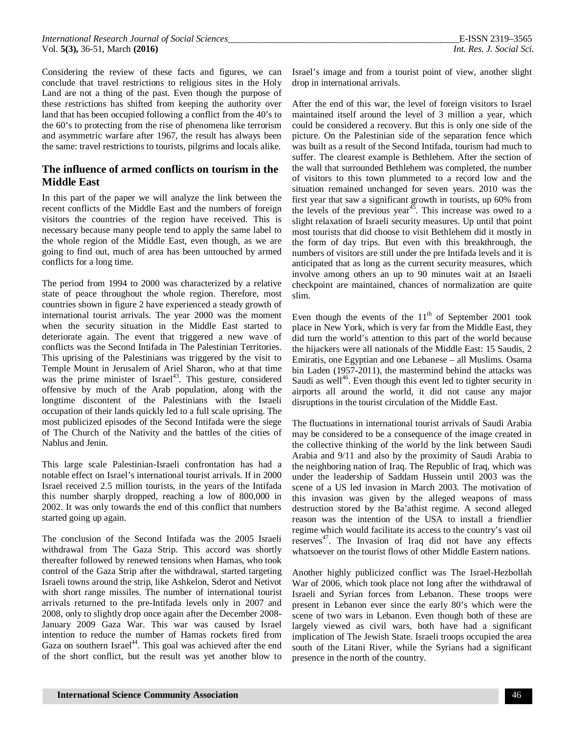Considering the review of these facts and figures, we can conclude that travel restrictions to religious sites in the Holy Land are not a thing of the past. Even though the purpose of these restrictions has shifted from keeping the authority over land that has been occupied following a conflict from the 40's to the 60's to protecting from the rise of phenomena like terrorism and asymmetric warfare after 1967, the result has always been the same: travel restrictions to tourists, pilgrims and locals alike.

#### **The influence of armed conflicts on tourism in the Middle East**

In this part of the paper we will analyze the link between the recent conflicts of the Middle East and the numbers of foreign visitors the countries of the region have received. This is necessary because many people tend to apply the same label to the whole region of the Middle East, even though, as we are going to find out, much of area has been untouched by armed conflicts for a long time.

The period from 1994 to 2000 was characterized by a relative state of peace throughout the whole region. Therefore, most countries shown in figure 2 have experienced a steady growth of international tourist arrivals. The year 2000 was the moment when the security situation in the Middle East started to deteriorate again. The event that triggered a new wave of conflicts was the Second Intifada in The Palestinian Territories. This uprising of the Palestinians was triggered by the visit to Temple Mount in Jerusalem of Ariel Sharon, who at that time was the prime minister of Israel<sup>43</sup>. This gesture, considered offensive by much of the Arab population, along with the longtime discontent of the Palestinians with the Israeli occupation of their lands quickly led to a full scale uprising. The most publicized episodes of the Second Intifada were the siege of The Church of the Nativity and the battles of the cities of Nablus and Jenin.

This large scale Palestinian-Israeli confrontation has had a notable effect on Israel's international tourist arrivals. If in 2000 Israel received 2.5 million tourists, in the years of the Intifada this number sharply dropped, reaching a low of 800,000 in 2002. It was only towards the end of this conflict that numbers started going up again.

The conclusion of the Second Intifada was the 2005 Israeli withdrawal from The Gaza Strip. This accord was shortly thereafter followed by renewed tensions when Hamas, who took control of the Gaza Strip after the withdrawal, started targeting Israeli towns around the strip, like Ashkelon, Sderot and Netivot with short range missiles. The number of international tourist arrivals returned to the pre-Intifada levels only in 2007 and 2008, only to slightly drop once again after the December 2008- January 2009 Gaza War. This war was caused by Israel intention to reduce the number of Hamas rockets fired from Gaza on southern Israel<sup>44</sup>. This goal was achieved after the end of the short conflict, but the result was yet another blow to

Israel's image and from a tourist point of view, another slight drop in international arrivals.

After the end of this war, the level of foreign visitors to Israel maintained itself around the level of 3 million a year, which could be considered a recovery. But this is only one side of the picture. On the Palestinian side of the separation fence which was built as a result of the Second Intifada, tourism had much to suffer. The clearest example is Bethlehem. After the section of the wall that surrounded Bethlehem was completed, the number of visitors to this town plummeted to a record low and the situation remained unchanged for seven years. 2010 was the first year that saw a significant growth in tourists, up 60% from the levels of the previous year<sup>45</sup>. This increase was owed to a slight relaxation of Israeli security measures. Up until that point most tourists that did choose to visit Bethlehem did it mostly in the form of day trips. But even with this breakthrough, the numbers of visitors are still under the pre Intifada levels and it is anticipated that as long as the current security measures, which involve among others an up to 90 minutes wait at an Israeli checkpoint are maintained, chances of normalization are quite slim.

Even though the events of the  $11<sup>th</sup>$  of September 2001 took place in New York, which is very far from the Middle East, they did turn the world's attention to this part of the world because the hijackers were all nationals of the Middle East: 15 Saudis, 2 Emiratis, one Egyptian and one Lebanese – all Muslims. Osama bin Laden (1957-2011), the mastermind behind the attacks was Saudi as well<sup>46</sup>. Even though this event led to tighter security in airports all around the world, it did not cause any major disruptions in the tourist circulation of the Middle East.

The fluctuations in international tourist arrivals of Saudi Arabia may be considered to be a consequence of the image created in the collective thinking of the world by the link between Saudi Arabia and 9/11 and also by the proximity of Saudi Arabia to the neighboring nation of Iraq. The Republic of Iraq, which was under the leadership of Saddam Hussein until 2003 was the scene of a US led invasion in March 2003. The motivation of this invasion was given by the alleged weapons of mass destruction stored by the Ba'athist regime. A second alleged reason was the intention of the USA to install a friendlier regime which would facilitate its access to the country's vast oil reserves $47$ . The Invasion of Iraq did not have any effects whatsoever on the tourist flows of other Middle Eastern nations.

Another highly publicized conflict was The Israel-Hezbollah War of 2006, which took place not long after the withdrawal of Israeli and Syrian forces from Lebanon. These troops were present in Lebanon ever since the early 80's which were the scene of two wars in Lebanon. Even though both of these are largely viewed as civil wars, both have had a significant implication of The Jewish State. Israeli troops occupied the area south of the Litani River, while the Syrians had a significant presence in the north of the country.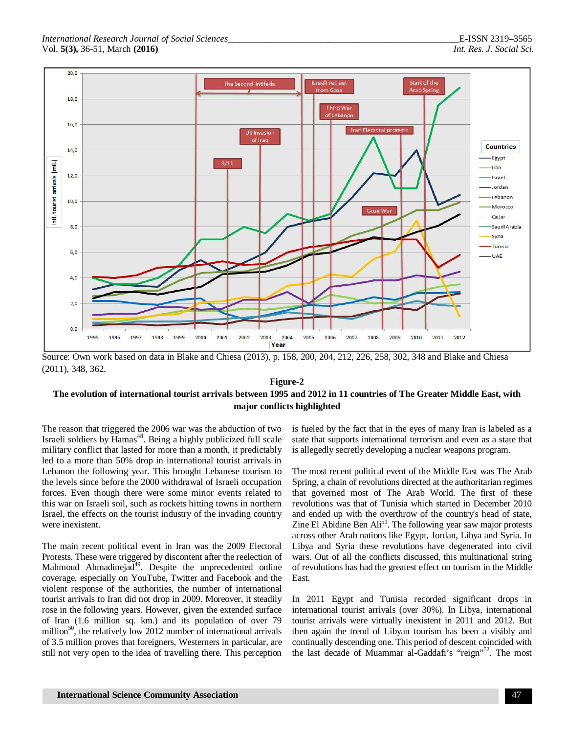

Source: Own work based on data in Blake and Chiesa (2013), p. 158, 200, 204, 212, 226, 258, 302, 348 and Blake and Chiesa (2011), 348, 362.

#### **Figure-2**

#### **The evolution of international tourist arrivals between 1995 and 2012 in 11 countries of The Greater Middle East, with major conflicts highlighted**

The reason that triggered the 2006 war was the abduction of two Israeli soldiers by Hamas<sup>48</sup>. Being a highly publicized full scale military conflict that lasted for more than a month, it predictably led to a more than 50% drop in international tourist arrivals in Lebanon the following year. This brought Lebanese tourism to the levels since before the 2000 withdrawal of Israeli occupation forces. Even though there were some minor events related to this war on Israeli soil, such as rockets hitting towns in northern Israel, the effects on the tourist industry of the invading country were inexistent.

The main recent political event in Iran was the 2009 Electoral Protests. These were triggered by discontent after the reelection of Mahmoud Ahmadinejad<sup>49</sup>. Despite the unprecedented online coverage, especially on YouTube, Twitter and Facebook and the violent response of the authorities, the number of international tourist arrivals to Iran did not drop in 2009. Moreover, it steadily rose in the following years. However, given the extended surface of Iran (1.6 million sq. km.) and its population of over 79 million<sup>50</sup>, the relatively low 2012 number of international arrivals of 3.5 million proves that foreigners, Westerners in particular, are still not very open to the idea of travelling there. This perception is fueled by the fact that in the eyes of many Iran is labeled as a state that supports international terrorism and even as a state that is allegedly secretly developing a nuclear weapons program.

The most recent political event of the Middle East was The Arab Spring, a chain of revolutions directed at the authoritarian regimes that governed most of The Arab World. The first of these revolutions was that of Tunisia which started in December 2010 and ended up with the overthrow of the country's head of state, Zine El Abidine Ben  $\text{Ali}^{51}$ . The following year saw major protests across other Arab nations like Egypt, Jordan, Libya and Syria. In Libya and Syria these revolutions have degenerated into civil wars. Out of all the conflicts discussed, this multinational string of revolutions has had the greatest effect on tourism in the Middle East.

In 2011 Egypt and Tunisia recorded significant drops in international tourist arrivals (over 30%). In Libya, international tourist arrivals were virtually inexistent in 2011 and 2012. But then again the trend of Libyan tourism has been a visibly and continually descending one. This period of descent coincided with the last decade of Muammar al-Gaddafi's "reign"<sup>52</sup>. The most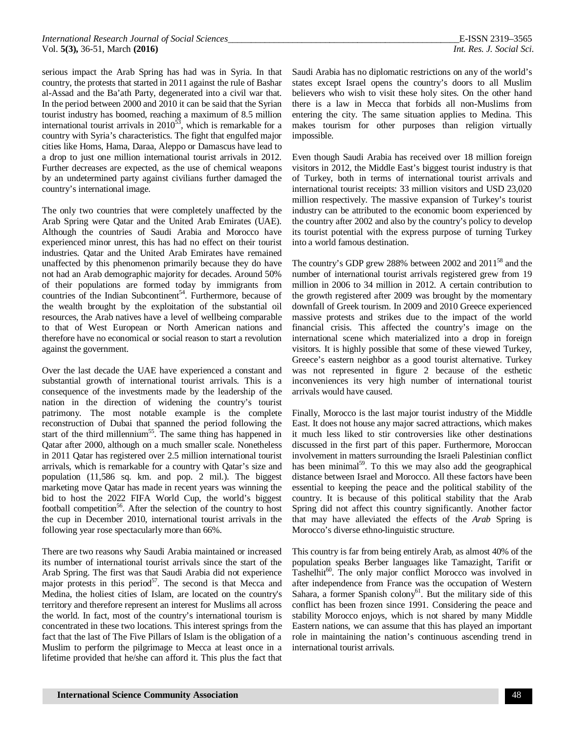serious impact the Arab Spring has had was in Syria. In that country, the protests that started in 2011 against the rule of Bashar al-Assad and the Ba'ath Party, degenerated into a civil war that. In the period between 2000 and 2010 it can be said that the Syrian tourist industry has boomed, reaching a maximum of 8.5 million international tourist arrivals in  $2010^{53}$ , which is remarkable for a country with Syria's characteristics. The fight that engulfed major cities like Homs, Hama, Daraa, Aleppo or Damascus have lead to a drop to just one million international tourist arrivals in 2012. Further decreases are expected, as the use of chemical weapons by an undetermined party against civilians further damaged the country's international image.

The only two countries that were completely unaffected by the Arab Spring were Qatar and the United Arab Emirates (UAE). Although the countries of Saudi Arabia and Morocco have experienced minor unrest, this has had no effect on their tourist industries. Qatar and the United Arab Emirates have remained unaffected by this phenomenon primarily because they do have not had an Arab demographic majority for decades. Around 50% of their populations are formed today by immigrants from countries of the Indian Subcontinent<sup>54</sup>. Furthermore, because of the wealth brought by the exploitation of the substantial oil resources, the Arab natives have a level of wellbeing comparable to that of West European or North American nations and therefore have no economical or social reason to start a revolution against the government.

Over the last decade the UAE have experienced a constant and substantial growth of international tourist arrivals. This is a consequence of the investments made by the leadership of the nation in the direction of widening the country's tourist patrimony. The most notable example is the complete reconstruction of Dubai that spanned the period following the start of the third millennium<sup>55</sup>. The same thing has happened in Qatar after 2000, although on a much smaller scale. Nonetheless in 2011 Qatar has registered over 2.5 million international tourist arrivals, which is remarkable for a country with Qatar's size and population (11,586 sq. km. and pop. 2 mil.). The biggest marketing move Qatar has made in recent years was winning the bid to host the 2022 FIFA World Cup, the world's biggest football competition<sup>56</sup>. After the selection of the country to host the cup in December 2010, international tourist arrivals in the following year rose spectacularly more than 66%.

There are two reasons why Saudi Arabia maintained or increased its number of international tourist arrivals since the start of the Arab Spring. The first was that Saudi Arabia did not experience major protests in this period $5^7$ . The second is that Mecca and Medina, the holiest cities of Islam, are located on the country's territory and therefore represent an interest for Muslims all across the world. In fact, most of the country's international tourism is concentrated in these two locations. This interest springs from the fact that the last of The Five Pillars of Islam is the obligation of a Muslim to perform the pilgrimage to Mecca at least once in a lifetime provided that he/she can afford it. This plus the fact that Saudi Arabia has no diplomatic restrictions on any of the world's states except Israel opens the country's doors to all Muslim believers who wish to visit these holy sites. On the other hand there is a law in Mecca that forbids all non-Muslims from entering the city. The same situation applies to Medina. This makes tourism for other purposes than religion virtually impossible.

Even though Saudi Arabia has received over 18 million foreign visitors in 2012, the Middle East's biggest tourist industry is that of Turkey, both in terms of international tourist arrivals and international tourist receipts: 33 million visitors and USD 23,020 million respectively. The massive expansion of Turkey's tourist industry can be attributed to the economic boom experienced by the country after 2002 and also by the country's policy to develop its tourist potential with the express purpose of turning Turkey into a world famous destination.

The country's GDP grew 288% between 2002 and  $2011^{58}$  and the number of international tourist arrivals registered grew from 19 million in 2006 to 34 million in 2012. A certain contribution to the growth registered after 2009 was brought by the momentary downfall of Greek tourism. In 2009 and 2010 Greece experienced massive protests and strikes due to the impact of the world financial crisis. This affected the country's image on the international scene which materialized into a drop in foreign visitors. It is highly possible that some of these viewed Turkey, Greece's eastern neighbor as a good tourist alternative. Turkey was not represented in figure 2 because of the esthetic inconveniences its very high number of international tourist arrivals would have caused.

Finally, Morocco is the last major tourist industry of the Middle East. It does not house any major sacred attractions, which makes it much less liked to stir controversies like other destinations discussed in the first part of this paper. Furthermore, Moroccan involvement in matters surrounding the Israeli Palestinian conflict has been minimal<sup>59</sup>. To this we may also add the geographical distance between Israel and Morocco. All these factors have been essential to keeping the peace and the political stability of the country. It is because of this political stability that the Arab Spring did not affect this country significantly. Another factor that may have alleviated the effects of the *Arab* Spring is Morocco's diverse ethno-linguistic structure.

This country is far from being entirely Arab, as almost 40% of the population speaks Berber languages like Tamazight, Tarifit or  $\overline{T}$ ashelhit<sup>60</sup>. The only major conflict Morocco was involved in after independence from France was the occupation of Western Sahara, a former Spanish colony<sup>61</sup>. But the military side of this conflict has been frozen since 1991. Considering the peace and stability Morocco enjoys, which is not shared by many Middle Eastern nations, we can assume that this has played an important role in maintaining the nation's continuous ascending trend in international tourist arrivals.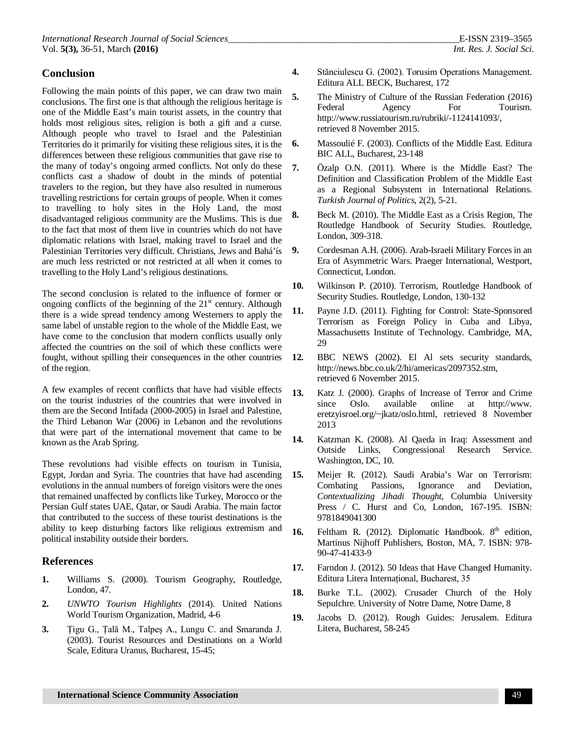#### **Conclusion**

Following the main points of this paper, we can draw two main conclusions. The first one is that although the religious heritage is one of the Middle East's main tourist assets, in the country that holds most religious sites, religion is both a gift and a curse. Although people who travel to Israel and the Palestinian Territories do it primarily for visiting these religious sites, it is the differences between these religious communities that gave rise to the many of today's ongoing armed conflicts. Not only do these conflicts cast a shadow of doubt in the minds of potential travelers to the region, but they have also resulted in numerous travelling restrictions for certain groups of people. When it comes to travelling to holy sites in the Holy Land, the most disadvantaged religious community are the Muslims. This is due to the fact that most of them live in countries which do not have diplomatic relations with Israel, making travel to Israel and the Palestinian Territories very difficult. Christians, Jews and Bahá'ís are much less restricted or not restricted at all when it comes to travelling to the Holy Land's religious destinations.

The second conclusion is related to the influence of former or ongoing conflicts of the beginning of the  $21<sup>st</sup>$  century. Although there is a wide spread tendency among Westerners to apply the same label of unstable region to the whole of the Middle East, we have come to the conclusion that modern conflicts usually only affected the countries on the soil of which these conflicts were fought, without spilling their consequences in the other countries of the region.

A few examples of recent conflicts that have had visible effects on the tourist industries of the countries that were involved in them are the Second Intifada (2000-2005) in Israel and Palestine, the Third Lebanon War (2006) in Lebanon and the revolutions that were part of the international movement that came to be known as the Arab Spring.

These revolutions had visible effects on tourism in Tunisia, Egypt, Jordan and Syria. The countries that have had ascending evolutions in the annual numbers of foreign visitors were the ones that remained unaffected by conflicts like Turkey, Morocco or the Persian Gulf states UAE, Qatar, or Saudi Arabia. The main factor that contributed to the success of these tourist destinations is the ability to keep disturbing factors like religious extremism and political instability outside their borders.

#### **References**

- **1.** Williams S. (2000). Tourism Geography, Routledge, London, 47.
- **2.** *UNWTO Tourism Highlights* (2014). United Nations World Tourism Organization, Madrid, 4-6
- **3.** Țigu G., Țală M., Talpeș A., Lungu C. and Smaranda J. (2003). Tourist Resources and Destinations on a World Scale, Editura Uranus, Bucharest, 15-45;
- **4.** Stănciulescu G. (2002). Torusim Operations Management. Editura ALL BECK, Bucharest, 172
- **5.** The Ministry of Culture of the Russian Federation (2016) Federal Agency For Tourism. <http://www.russiatourism.ru/rubriki/-1124141093/,> retrieved 8 November 2015.
- **6.** Massoulié F. (2003). Conflicts of the Middle East. Editura BIC ALL, Bucharest, 23-148
- **7.** Özalp O.N. (2011). Where is the Middle East? The Definition and Classification Problem of the Middle East as a Regional Subsystem in International Relations. *Turkish Journal of Politics*, 2(2), 5-21.
- **8.** Beck M. (2010). The Middle East as a Crisis Region, The Routledge Handbook of Security Studies. Routledge, London, 309-318.
- **9.** Cordesman A.H. (2006). Arab-Israeli Military Forces in an Era of Asymmetric Wars. Praeger International, Westport, Connecticut, London.
- **10.** Wilkinson P. (2010). Terrorism, Routledge Handbook of Security Studies. Routledge, London, 130-132
- **11.** Payne J.D. (2011). Fighting for Control: State-Sponsored Terrorism as Foreign Policy in Cuba and Libya, Massachusetts Institute of Technology. Cambridge, MA, 29
- **12.** BBC NEWS (2002). El Al sets security standards, <http://news.bbc.co.uk/2/hi/americas/2097352.stm,> retrieved 6 November 2015.
- **13.** Katz J. (2000). Graphs of Increase of Terror and Crime since Oslo. available online at <http://www.> eretzyisroel.org/~jkatz/oslo.html, retrieved 8 November 2013
- **14.** Katzman K. (2008). Al Qaeda in Iraq: Assessment and Outside Links, Congressional Research Service. Washington, DC, 10.
- **15.** Meijer R. (2012). Saudi Arabia's War on Terrorism: Combating Passions, Ignorance and Deviation, *Contextualizing Jihadi Thought*, Columbia University Press / C. Hurst and Co, London, 167-195. ISBN: 9781849041300
- 16. Feltham R. (2012). Diplomatic Handbook. 8<sup>th</sup> edition, Martinus Nijhoff Publishers, Boston, MA, 7. ISBN: 978- 90-47-41433-9
- **17.** Farndon J. (2012). 50 Ideas that Have Changed Humanity. Editura Litera Internațional, Bucharest, 35
- **18.** Burke T.L. (2002). Crusader Church of the Holy Sepulchre. University of Notre Dame, Notre Dame, 8
- **19.** Jacobs D. (2012). Rough Guides: Jerusalem. Editura Litera, Bucharest, 58-245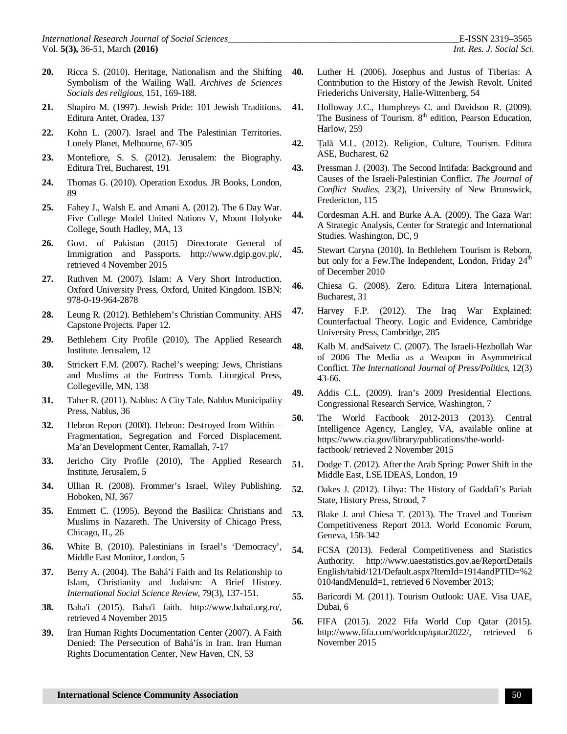- **20.** Ricca S. (2010). Heritage, Nationalism and the Shifting Symbolism of the Wailing Wall. *Archives de Sciences Socials des religious*, 151, 169-188.
- **21.** Shapiro M. (1997). Jewish Pride: 101 Jewish Traditions. Editura Antet, Oradea, 137
- **22.** Kohn L. (2007). Israel and The Palestinian Territories. Lonely Planet, Melbourne, 67-305
- **23.** Montefiore, S. S. (2012). Jerusalem: the Biography. Editura Trei, Bucharest, 191
- **24.** Thomas G. (2010). Operation Exodus. JR Books, London, 89
- **25.** Fahey J., Walsh E. and Amani A. (2012). The 6 Day War. Five College Model United Nations V, Mount Holyoke College, South Hadley, MA, 13
- **26.** Govt. of Pakistan (2015) Directorate General of Immigration and Passports. <http://www.dgip.gov.pk/,> retrieved 4 November 2015
- **27.** Ruthven M. (2007). Islam: A Very Short Introduction. Oxford University Press, Oxford, United Kingdom. ISBN: 978-0-19-964-2878
- **28.** Leung R. (2012). Bethlehem's Christian Community. AHS Capstone Projects*.* Paper 12.
- **29.** Bethlehem City Profile (2010), The Applied Research Institute. Jerusalem, 12
- **30.** Strickert F.M. (2007). Rachel's weeping: Jews, Christians and Muslims at the Fortress Tomb. Liturgical Press, Collegeville, MN, 138
- **31.** Taher R. (2011). Nablus: A City Tale. Nablus Municipality Press, Nablus, 36
- **32.** Hebron Report (2008). Hebron: Destroyed from Within Fragmentation, Segregation and Forced Displacement. Ma'an Development Center, Ramallah, 7-17
- **33.** Jericho City Profile (2010), The Applied Research Institute, Jerusalem, 5
- **34.** Ullian R. (2008). Frommer's Israel, Wiley Publishing. Hoboken, NJ, 367
- **35.** Emmett C. (1995). Beyond the Basilica: Christians and Muslims in Nazareth. The University of Chicago Press, Chicago, IL, 26
- **36.** White B. (2010). Palestinians in Israel's 'Democracy', Middle East Monitor, London, 5
- **37.** Berry A. (2004). The Bahá'í Faith and Its Relationship to Islam, Christianity and Judaism: A Brief History. *International Social Science Review*, 79(3), 137-151.
- **38.** Baha'i (2015). Baha'i faith. <http://www.bahai.org.ro/,> retrieved 4 November 2015
- **39.** Iran Human Rights Documentation Center (2007). A Faith Denied: The Persecution of Bahá'ís in Iran. Iran Human Rights Documentation Center, New Haven, CN, 53
- **40.** Luther H. (2006). Josephus and Justus of Tiberias: A Contribution to the History of the Jewish Revolt. United Friederichs University, Halle-Wittenberg, 54
- **41.** Holloway J.C., Humphreys C. and Davidson R. (2009). The Business of Tourism. 8<sup>th</sup> edition, Pearson Education, Harlow, 259
- **42.** Țală M.L. (2012). Religion, Culture, Tourism. Editura ASE, Bucharest, 62
- **43.** Pressman J. (2003). The Second Intifada: Background and Causes of the Israeli-Palestinian Conflict. *The Journal of Conflict Studies*, 23(2), University of New Brunswick, Fredericton, 115
- **44.** Cordesman A.H. and Burke A.A. (2009). The Gaza War: A Strategic Analysis, Center for Strategic and International Studies. Washington, DC, 9
- **45.** Stewart Caryna (2010). In Bethlehem Tourism is Reborn, but only for a Few.The Independent, London, Friday 24<sup>th</sup> of December 2010
- **46.** Chiesa G. (2008). Zero. Editura Litera Internațional, Bucharest, 31
- **47.** Harvey F.P. (2012). The Iraq War Explained: Counterfactual Theory. Logic and Evidence, Cambridge University Press, Cambridge, 285
- **48.** Kalb M. andSaivetz C. (2007). The Israeli-Hezbollah War of 2006 The Media as a Weapon in Asymmetrical Conflict. *The International Journal of Press/Politics*, 12(3) 43-66.
- **49.** Addis C.L. (2009). Iran's 2009 Presidential Elections. Congressional Research Service, Washington, 7
- **50.** The World Factbook 2012-2013 (2013). Central Intelligence Agency, Langley, VA, available online at [https://www.cia.gov/library/publications/the-world](https://www.cia.gov/library/publications/the-world-)factbook/ retrieved 2 November 2015
- **51.** Dodge T. (2012). After the Arab Spring: Power Shift in the Middle East, LSE IDEAS, London, 19
- **52.** Oakes J. (2012). Libya: The History of Gaddafi's Pariah State, History Press, Stroud, 7
- **53.** Blake J. and Chiesa T. (2013). The Travel and Tourism Competitiveness Report 2013. World Economic Forum, Geneva, 158-342
- **54.** FCSA (2013). Federal Competitiveness and Statistics Authority. <http://www.uaestatistics.gov.ae/ReportDetails> English/tabid/121/Default.aspx?ItemId=1914andPTID=%2 0104andMenuId=1, retrieved 6 November 2013;
- **55.** Baricordi M. (2011). Tourism Outlook: UAE. Visa UAE, Dubai, 6
- **56.** FIFA (2015). 2022 Fifa World Cup Qatar (2015). <http://www.fifa.com/worldcup/qatar2022/,> retrieved 6 November 2015